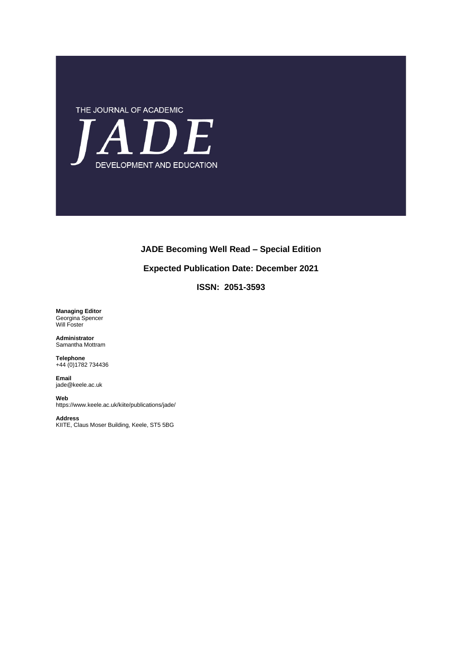

# **JADE Becoming Well Read – Special Edition**

### **Expected Publication Date: December 2021**

**ISSN: 2051-3593**

**Managing Editor** Georgina Spencer Will Foster

**Administrator** Samantha Mottram

**Telephone**  +44 (0)1782 734436

**Email**  jade@keele.ac.uk

#### **Web**

https://www.keele.ac.uk/kiite/publications/jade/

**Address** KIITE, Claus Moser Building, Keele, ST5 5BG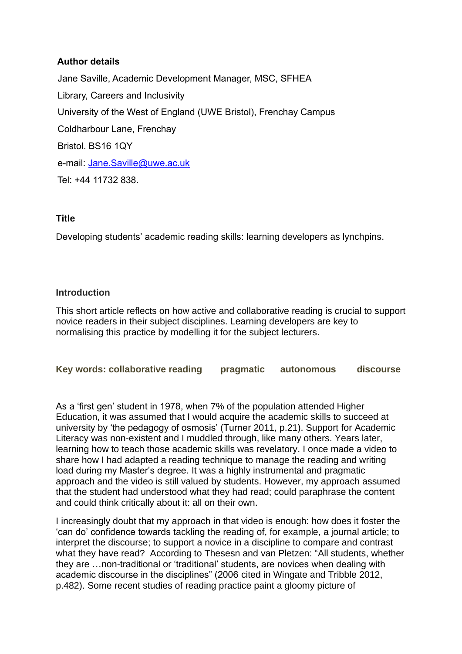# **Author details**

Jane Saville, Academic Development Manager, MSC, SFHEA Library, Careers and Inclusivity University of the West of England (UWE Bristol), Frenchay Campus Coldharbour Lane, Frenchay Bristol. BS16 1QY e-mail: [Jane.Saville@uwe.ac.uk](mailto:Jane.Saville@uwe.ac.uk) Tel: +44 11732 838.

# **Title**

Developing students' academic reading skills: learning developers as lynchpins.

# **Introduction**

This short article reflects on how active and collaborative reading is crucial to support novice readers in their subject disciplines. Learning developers are key to normalising this practice by modelling it for the subject lecturers.

**Key words: collaborative reading pragmatic autonomous discourse** 

As a 'first gen' student in 1978, when 7% of the population attended Higher Education, it was assumed that I would acquire the academic skills to succeed at university by 'the pedagogy of osmosis' (Turner 2011, p.21). Support for Academic Literacy was non-existent and I muddled through, like many others. Years later, learning how to teach those academic skills was revelatory. I once made a video to share how I had adapted a reading technique to manage the reading and writing load during my Master's degree. It was a highly instrumental and pragmatic approach and the video is still valued by students. However, my approach assumed that the student had understood what they had read; could paraphrase the content and could think critically about it: all on their own.

I increasingly doubt that my approach in that video is enough: how does it foster the 'can do' confidence towards tackling the reading of, for example, a journal article; to interpret the discourse; to support a novice in a discipline to compare and contrast what they have read? According to Thesesn and van Pletzen: "All students, whether they are …non-traditional or 'traditional' students, are novices when dealing with academic discourse in the disciplines" (2006 cited in Wingate and Tribble 2012, p.482). Some recent studies of reading practice paint a gloomy picture of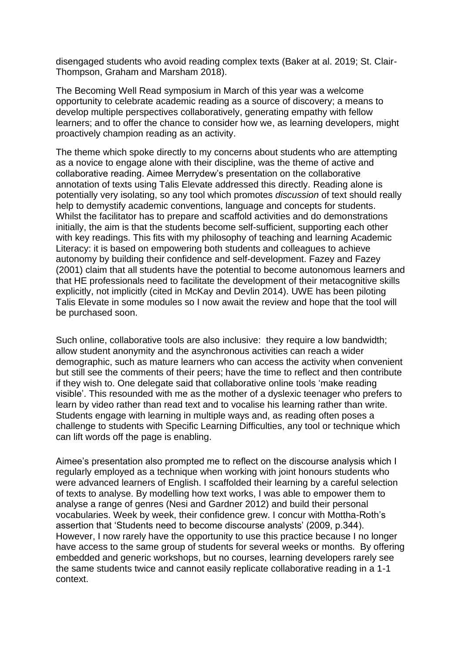disengaged students who avoid reading complex texts (Baker at al. 2019; St. Clair-Thompson, Graham and Marsham 2018).

The Becoming Well Read symposium in March of this year was a welcome opportunity to celebrate academic reading as a source of discovery; a means to develop multiple perspectives collaboratively, generating empathy with fellow learners; and to offer the chance to consider how we, as learning developers, might proactively champion reading as an activity.

The theme which spoke directly to my concerns about students who are attempting as a novice to engage alone with their discipline, was the theme of active and collaborative reading. Aimee Merrydew's presentation on the collaborative annotation of texts using Talis Elevate addressed this directly. Reading alone is potentially very isolating, so any tool which promotes *discussion* of text should really help to demystify academic conventions, language and concepts for students. Whilst the facilitator has to prepare and scaffold activities and do demonstrations initially, the aim is that the students become self-sufficient, supporting each other with key readings. This fits with my philosophy of teaching and learning Academic Literacy: it is based on empowering both students and colleagues to achieve autonomy by building their confidence and self-development. Fazey and Fazey (2001) claim that all students have the potential to become autonomous learners and that HE professionals need to facilitate the development of their metacognitive skills explicitly, not implicitly (cited in McKay and Devlin 2014). UWE has been piloting Talis Elevate in some modules so I now await the review and hope that the tool will be purchased soon.

Such online, collaborative tools are also inclusive: they require a low bandwidth; allow student anonymity and the asynchronous activities can reach a wider demographic, such as mature learners who can access the activity when convenient but still see the comments of their peers; have the time to reflect and then contribute if they wish to. One delegate said that collaborative online tools 'make reading visible'. This resounded with me as the mother of a dyslexic teenager who prefers to learn by video rather than read text and to vocalise his learning rather than write. Students engage with learning in multiple ways and, as reading often poses a challenge to students with Specific Learning Difficulties, any tool or technique which can lift words off the page is enabling.

Aimee's presentation also prompted me to reflect on the discourse analysis which I regularly employed as a technique when working with joint honours students who were advanced learners of English. I scaffolded their learning by a careful selection of texts to analyse. By modelling how text works, I was able to empower them to analyse a range of genres (Nesi and Gardner 2012) and build their personal vocabularies. Week by week, their confidence grew. I concur with Mottha-Roth's assertion that 'Students need to become discourse analysts' (2009, p.344). However, I now rarely have the opportunity to use this practice because I no longer have access to the same group of students for several weeks or months. By offering embedded and generic workshops, but no courses, learning developers rarely see the same students twice and cannot easily replicate collaborative reading in a 1-1 context.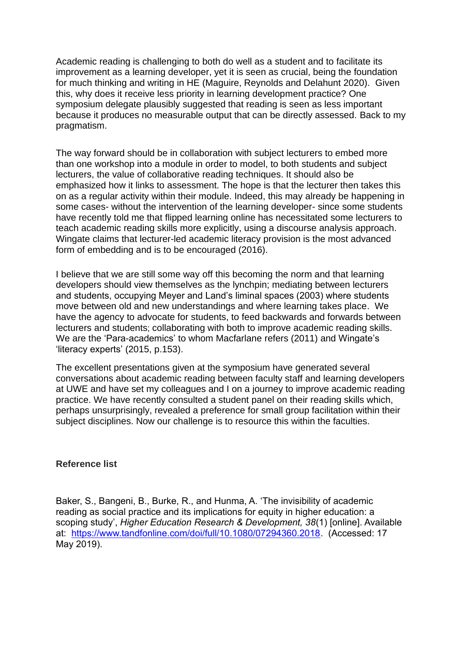Academic reading is challenging to both do well as a student and to facilitate its improvement as a learning developer, yet it is seen as crucial, being the foundation for much thinking and writing in HE (Maguire, Reynolds and Delahunt 2020). Given this, why does it receive less priority in learning development practice? One symposium delegate plausibly suggested that reading is seen as less important because it produces no measurable output that can be directly assessed. Back to my pragmatism.

The way forward should be in collaboration with subject lecturers to embed more than one workshop into a module in order to model, to both students and subject lecturers, the value of collaborative reading techniques. It should also be emphasized how it links to assessment. The hope is that the lecturer then takes this on as a regular activity within their module. Indeed, this may already be happening in some cases- without the intervention of the learning developer- since some students have recently told me that flipped learning online has necessitated some lecturers to teach academic reading skills more explicitly, using a discourse analysis approach. Wingate claims that lecturer-led academic literacy provision is the most advanced form of embedding and is to be encouraged (2016).

I believe that we are still some way off this becoming the norm and that learning developers should view themselves as the lynchpin; mediating between lecturers and students, occupying Meyer and Land's liminal spaces (2003) where students move between old and new understandings and where learning takes place. We have the agency to advocate for students, to feed backwards and forwards between lecturers and students; collaborating with both to improve academic reading skills. We are the 'Para-academics' to whom Macfarlane refers (2011) and Wingate's 'literacy experts' (2015, p.153).

The excellent presentations given at the symposium have generated several conversations about academic reading between faculty staff and learning developers at UWE and have set my colleagues and I on a journey to improve academic reading practice. We have recently consulted a student panel on their reading skills which, perhaps unsurprisingly, revealed a preference for small group facilitation within their subject disciplines. Now our challenge is to resource this within the faculties.

# **Reference list**

Baker, S., Bangeni, B., Burke, R., and Hunma, A. 'The invisibility of academic reading as social practice and its implications for equity in higher education: a scoping study', *Higher Education Research & Development, 38*(1) [online]. Available at: [https://www.tandfonline.com/doi/full/10.1080/07294360.2018.](https://www.tandfonline.com/doi/full/10.1080/07294360.2018) (Accessed: 17 May 2019).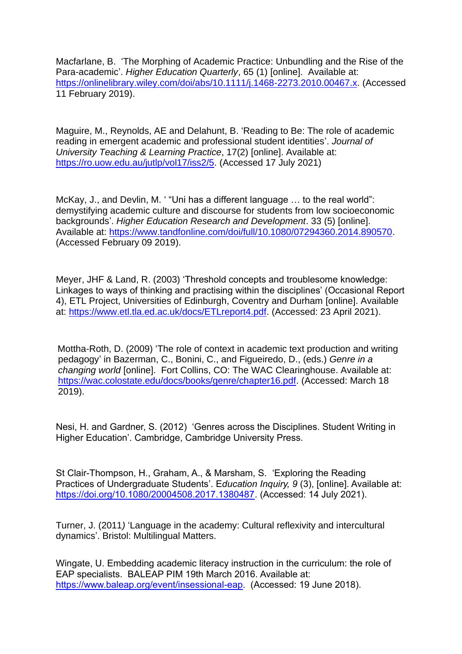Macfarlane, B. 'The Morphing of Academic Practice: Unbundling and the Rise of the Para-academic'. *Higher Education Quarterly*, 65 (1) [online]. Available at: [https://onlinelibrary.wiley.com/doi/abs/10.1111/j.1468-2273.2010.00467.x.](https://onlinelibrary.wiley.com/doi/abs/10.1111/j.1468-2273.2010.00467.x) (Accessed 11 February 2019).

Maguire, M., Reynolds, AE and Delahunt, B. 'Reading to Be: The role of academic reading in emergent academic and professional student identities'. *Journal of University Teaching & Learning Practice*, 17(2) [online]. Available at: [https://ro.uow.edu.au/jutlp/vol17/iss2/5.](https://ro.uow.edu.au/jutlp/vol17/iss2/5) (Accessed 17 July 2021)

McKay, J., and Devlin, M. ' "Uni has a different language … to the real world": demystifying academic culture and discourse for students from low socioeconomic backgrounds'. *Higher Education Research and Development*. 33 (5) [online]. Available at: [https://www.tandfonline.com/doi/full/10.1080/07294360.2014.890570.](https://www.tandfonline.com/doi/full/10.1080/07294360.2014.890570) (Accessed February 09 2019).

Meyer, JHF & Land, R. (2003) 'Threshold concepts and troublesome knowledge: Linkages to ways of thinking and practising within the disciplines' (Occasional Report 4), ETL Project, Universities of Edinburgh, Coventry and Durham [online]. Available at: [https://www.etl.tla.ed.ac.uk/docs/ETLreport4.pdf.](https://www.etl.tla.ed.ac.uk/docs/ETLreport4.pdf) (Accessed: 23 April 2021).

 Mottha-Roth, D. (2009) 'The role of context in academic text production and writing pedagogy' in Bazerman, C., Bonini, C., and Figueiredo, D., (eds.) *Genre in a changing world* [online]. Fort Collins, CO: The WAC Clearinghouse. Available at: [https://wac.colostate.edu/docs/books/genre/chapter16.pdf.](https://wac.colostate.edu/docs/books/genre/chapter16.pdf) (Accessed: March 18 2019).

Nesi, H. and Gardner, S. (2012) 'Genres across the Disciplines. Student Writing in Higher Education'. Cambridge, Cambridge University Press.

St Clair-Thompson, H., Graham, A., & Marsham, S. 'Exploring the Reading Practices of Undergraduate Students'. E*ducation Inquiry, 9* (3), [online]. Available at: [https://doi.org/10.1080/20004508.2017.1380487.](https://doi.org/10.1080/20004508.2017.1380487) (Accessed: 14 July 2021).

Turner, J. (2011*)* 'Language in the academy: Cultural reflexivity and intercultural dynamics'. Bristol: Multilingual Matters.

Wingate, U. Embedding academic literacy instruction in the curriculum: the role of EAP specialists. BALEAP PIM 19th March 2016. Available at: [https://www.baleap.org/event/insessional-eap.](https://www.baleap.org/event/insessional-eap) (Accessed: 19 June 2018).